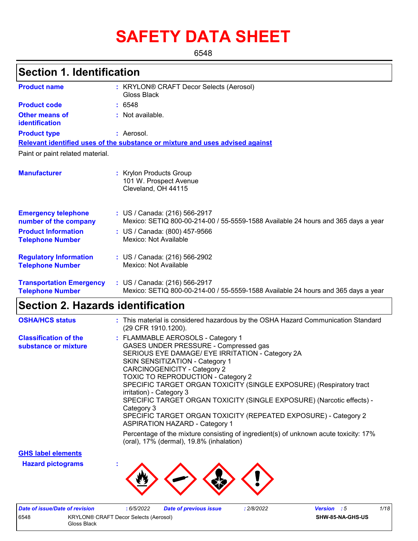# **SAFETY DATA SHEET**

6548

### **Section 1. Identification**

| <b>Product name</b>                                        | : KRYLON® CRAFT Decor Selects (Aerosol)<br>Gloss Black                                                             |
|------------------------------------------------------------|--------------------------------------------------------------------------------------------------------------------|
| <b>Product code</b>                                        | : 6548                                                                                                             |
| Other means of<br>identification                           | : Not available.                                                                                                   |
| <b>Product type</b>                                        | : Aerosol.                                                                                                         |
|                                                            | Relevant identified uses of the substance or mixture and uses advised against                                      |
| Paint or paint related material.                           |                                                                                                                    |
| <b>Manufacturer</b>                                        | : Krylon Products Group<br>101 W. Prospect Avenue<br>Cleveland, OH 44115                                           |
| <b>Emergency telephone</b><br>number of the company        | : US / Canada: (216) 566-2917<br>Mexico: SETIQ 800-00-214-00 / 55-5559-1588 Available 24 hours and 365 days a year |
| <b>Product Information</b><br><b>Telephone Number</b>      | : US / Canada: (800) 457-9566<br>Mexico: Not Available                                                             |
| <b>Regulatory Information</b><br><b>Telephone Number</b>   | : US / Canada: (216) 566-2902<br>Mexico: Not Available                                                             |
| <b>Transportation Emergency</b><br><b>Telephone Number</b> | : US / Canada: (216) 566-2917<br>Mexico: SETIQ 800-00-214-00 / 55-5559-1588 Available 24 hours and 365 days a year |

## **Section 2. Hazards identification**

| <b>OSHA/HCS status</b>                               | : This material is considered hazardous by the OSHA Hazard Communication Standard<br>(29 CFR 1910.1200).                                                                                                                                                                                                                                                                                                                                                                                                                                                    |
|------------------------------------------------------|-------------------------------------------------------------------------------------------------------------------------------------------------------------------------------------------------------------------------------------------------------------------------------------------------------------------------------------------------------------------------------------------------------------------------------------------------------------------------------------------------------------------------------------------------------------|
| <b>Classification of the</b><br>substance or mixture | : FLAMMABLE AEROSOLS - Category 1<br>GASES UNDER PRESSURE - Compressed gas<br>SERIOUS EYE DAMAGE/ EYE IRRITATION - Category 2A<br>SKIN SENSITIZATION - Category 1<br><b>CARCINOGENICITY - Category 2</b><br><b>TOXIC TO REPRODUCTION - Category 2</b><br>SPECIFIC TARGET ORGAN TOXICITY (SINGLE EXPOSURE) (Respiratory tract<br>irritation) - Category 3<br>SPECIFIC TARGET ORGAN TOXICITY (SINGLE EXPOSURE) (Narcotic effects) -<br>Category 3<br>SPECIFIC TARGET ORGAN TOXICITY (REPEATED EXPOSURE) - Category 2<br><b>ASPIRATION HAZARD - Category 1</b> |
|                                                      | Percentage of the mixture consisting of ingredient(s) of unknown acute toxicity: 17%<br>(oral), 17% (dermal), 19.8% (inhalation)                                                                                                                                                                                                                                                                                                                                                                                                                            |

**GHS label elements**

**Hazard pictograms :**



|                                                      | Date of issue/Date of revision |  | 6/5/2022 | Date of previous issue | 2/8/2022         | <b>Version</b> : 5 |  | 1/18 |
|------------------------------------------------------|--------------------------------|--|----------|------------------------|------------------|--------------------|--|------|
| 6548<br><b>KRYLON® CRAFT Decor Selects (Aerosol)</b> |                                |  |          |                        | SHW-85-NA-GHS-US |                    |  |      |
| Gloss Black                                          |                                |  |          |                        |                  |                    |  |      |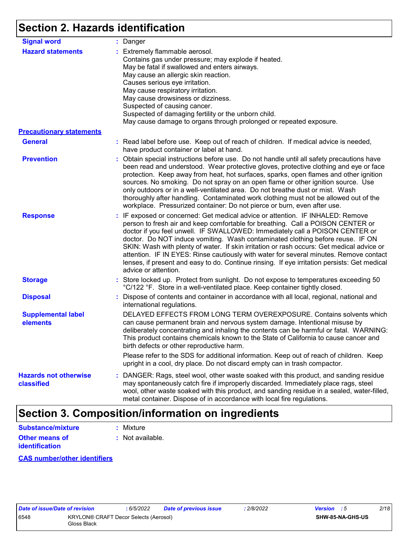# **Section 2. Hazards identification**

| <b>Signal word</b>                         | : Danger                                                                                                                                                                                                                                                                                                                                                                                                                                                                                                                                                                                                                                           |
|--------------------------------------------|----------------------------------------------------------------------------------------------------------------------------------------------------------------------------------------------------------------------------------------------------------------------------------------------------------------------------------------------------------------------------------------------------------------------------------------------------------------------------------------------------------------------------------------------------------------------------------------------------------------------------------------------------|
| <b>Hazard statements</b>                   | : Extremely flammable aerosol.<br>Contains gas under pressure; may explode if heated.<br>May be fatal if swallowed and enters airways.<br>May cause an allergic skin reaction.<br>Causes serious eye irritation.<br>May cause respiratory irritation.<br>May cause drowsiness or dizziness.<br>Suspected of causing cancer.<br>Suspected of damaging fertility or the unborn child.<br>May cause damage to organs through prolonged or repeated exposure.                                                                                                                                                                                          |
| <b>Precautionary statements</b>            |                                                                                                                                                                                                                                                                                                                                                                                                                                                                                                                                                                                                                                                    |
| <b>General</b>                             | : Read label before use. Keep out of reach of children. If medical advice is needed,<br>have product container or label at hand.                                                                                                                                                                                                                                                                                                                                                                                                                                                                                                                   |
| <b>Prevention</b>                          | : Obtain special instructions before use. Do not handle until all safety precautions have<br>been read and understood. Wear protective gloves, protective clothing and eye or face<br>protection. Keep away from heat, hot surfaces, sparks, open flames and other ignition<br>sources. No smoking. Do not spray on an open flame or other ignition source. Use<br>only outdoors or in a well-ventilated area. Do not breathe dust or mist. Wash<br>thoroughly after handling. Contaminated work clothing must not be allowed out of the<br>workplace. Pressurized container: Do not pierce or burn, even after use.                               |
| <b>Response</b>                            | : IF exposed or concerned: Get medical advice or attention. IF INHALED: Remove<br>person to fresh air and keep comfortable for breathing. Call a POISON CENTER or<br>doctor if you feel unwell. IF SWALLOWED: Immediately call a POISON CENTER or<br>doctor. Do NOT induce vomiting. Wash contaminated clothing before reuse. IF ON<br>SKIN: Wash with plenty of water. If skin irritation or rash occurs: Get medical advice or<br>attention. IF IN EYES: Rinse cautiously with water for several minutes. Remove contact<br>lenses, if present and easy to do. Continue rinsing. If eye irritation persists: Get medical<br>advice or attention. |
| <b>Storage</b>                             | : Store locked up. Protect from sunlight. Do not expose to temperatures exceeding 50<br>°C/122 °F. Store in a well-ventilated place. Keep container tightly closed.                                                                                                                                                                                                                                                                                                                                                                                                                                                                                |
| <b>Disposal</b>                            | : Dispose of contents and container in accordance with all local, regional, national and<br>international regulations.                                                                                                                                                                                                                                                                                                                                                                                                                                                                                                                             |
| <b>Supplemental label</b><br>elements      | DELAYED EFFECTS FROM LONG TERM OVEREXPOSURE. Contains solvents which<br>can cause permanent brain and nervous system damage. Intentional misuse by<br>deliberately concentrating and inhaling the contents can be harmful or fatal. WARNING:<br>This product contains chemicals known to the State of California to cause cancer and<br>birth defects or other reproductive harm.                                                                                                                                                                                                                                                                  |
|                                            | Please refer to the SDS for additional information. Keep out of reach of children. Keep<br>upright in a cool, dry place. Do not discard empty can in trash compactor.                                                                                                                                                                                                                                                                                                                                                                                                                                                                              |
| <b>Hazards not otherwise</b><br>classified | : DANGER: Rags, steel wool, other waste soaked with this product, and sanding residue<br>may spontaneously catch fire if improperly discarded. Immediately place rags, steel<br>wool, other waste soaked with this product, and sanding residue in a sealed, water-filled,<br>metal container. Dispose of in accordance with local fire regulations.                                                                                                                                                                                                                                                                                               |

### **Section 3. Composition/information on ingredients**

| Substance/mixture     | : Mixture        |
|-----------------------|------------------|
| <b>Other means of</b> | : Not available. |
| <b>identification</b> |                  |

### **CAS number/other identifiers**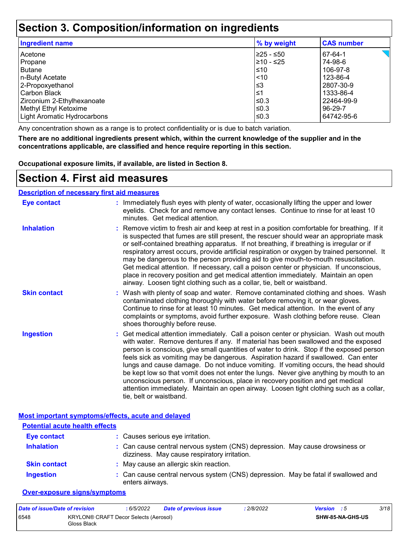### **Section 3. Composition/information on ingredients**

| <b>Ingredient name</b>      | % by weight | <b>CAS number</b> |
|-----------------------------|-------------|-------------------|
| Acetone                     | 225 - ≤50   | 67-64-1           |
| Propane                     | l≥10 - ≤25  | 74-98-6           |
| <b>Butane</b>               | $\leq 10$   | 106-97-8          |
| n-Butyl Acetate             | $\leq 10$   | 123-86-4          |
| 2-Propoxyethanol            | l≤3         | 2807-30-9         |
| Carbon Black                | 1≥ا         | 1333-86-4         |
| Zirconium 2-Ethylhexanoate  | ≤0.3        | 22464-99-9        |
| Methyl Ethyl Ketoxime       | l≤0.3       | 96-29-7           |
| Light Aromatic Hydrocarbons | l≤0.3       | 64742-95-6        |
|                             |             |                   |

Any concentration shown as a range is to protect confidentiality or is due to batch variation.

**There are no additional ingredients present which, within the current knowledge of the supplier and in the concentrations applicable, are classified and hence require reporting in this section.**

**Occupational exposure limits, if available, are listed in Section 8.**

### **Section 4. First aid measures**

### **Description of necessary first aid measures**

| <b>Eye contact</b>  | : Immediately flush eyes with plenty of water, occasionally lifting the upper and lower<br>eyelids. Check for and remove any contact lenses. Continue to rinse for at least 10<br>minutes. Get medical attention.                                                                                                                                                                                                                                                                                                                                                                                                                                                                                                                                       |
|---------------------|---------------------------------------------------------------------------------------------------------------------------------------------------------------------------------------------------------------------------------------------------------------------------------------------------------------------------------------------------------------------------------------------------------------------------------------------------------------------------------------------------------------------------------------------------------------------------------------------------------------------------------------------------------------------------------------------------------------------------------------------------------|
| <b>Inhalation</b>   | : Remove victim to fresh air and keep at rest in a position comfortable for breathing. If it<br>is suspected that fumes are still present, the rescuer should wear an appropriate mask<br>or self-contained breathing apparatus. If not breathing, if breathing is irregular or if<br>respiratory arrest occurs, provide artificial respiration or oxygen by trained personnel. It<br>may be dangerous to the person providing aid to give mouth-to-mouth resuscitation.<br>Get medical attention. If necessary, call a poison center or physician. If unconscious,<br>place in recovery position and get medical attention immediately. Maintain an open<br>airway. Loosen tight clothing such as a collar, tie, belt or waistband.                    |
| <b>Skin contact</b> | : Wash with plenty of soap and water. Remove contaminated clothing and shoes. Wash<br>contaminated clothing thoroughly with water before removing it, or wear gloves.<br>Continue to rinse for at least 10 minutes. Get medical attention. In the event of any<br>complaints or symptoms, avoid further exposure. Wash clothing before reuse. Clean<br>shoes thoroughly before reuse.                                                                                                                                                                                                                                                                                                                                                                   |
| <b>Ingestion</b>    | : Get medical attention immediately. Call a poison center or physician. Wash out mouth<br>with water. Remove dentures if any. If material has been swallowed and the exposed<br>person is conscious, give small quantities of water to drink. Stop if the exposed person<br>feels sick as vomiting may be dangerous. Aspiration hazard if swallowed. Can enter<br>lungs and cause damage. Do not induce vomiting. If vomiting occurs, the head should<br>be kept low so that vomit does not enter the lungs. Never give anything by mouth to an<br>unconscious person. If unconscious, place in recovery position and get medical<br>attention immediately. Maintain an open airway. Loosen tight clothing such as a collar,<br>tie, belt or waistband. |

**Most important symptoms/effects, acute and delayed**

| <b>Potential acute health effects</b> |                                                                                                                              |  |  |  |  |
|---------------------------------------|------------------------------------------------------------------------------------------------------------------------------|--|--|--|--|
| <b>Eye contact</b>                    | : Causes serious eye irritation.                                                                                             |  |  |  |  |
| <b>Inhalation</b>                     | : Can cause central nervous system (CNS) depression. May cause drowsiness or<br>dizziness. May cause respiratory irritation. |  |  |  |  |
| <b>Skin contact</b>                   | : May cause an allergic skin reaction.                                                                                       |  |  |  |  |
| <b>Ingestion</b>                      | : Can cause central nervous system (CNS) depression. May be fatal if swallowed and<br>enters airways.                        |  |  |  |  |

#### **Over-exposure signs/symptoms**

| Date of issue/Date of revision |                                                      | 6/5/2022 | <b>Date of previous issue</b> | : 2/8/2022 | <b>Version</b> : 5 |                         | 3/18 |
|--------------------------------|------------------------------------------------------|----------|-------------------------------|------------|--------------------|-------------------------|------|
| 6548                           | KRYLON® CRAFT Decor Selects (Aerosol)<br>Gloss Black |          |                               |            |                    | <b>SHW-85-NA-GHS-US</b> |      |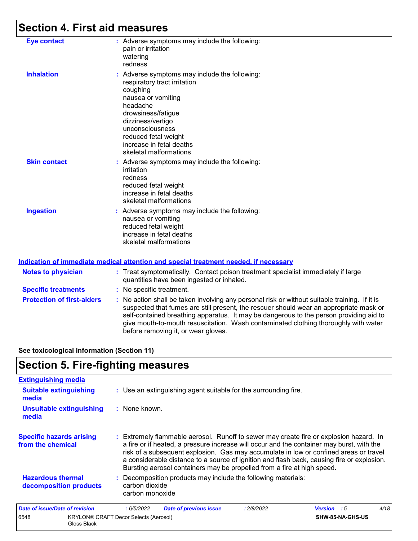## **Section 4. First aid measures**

| <b>Eye contact</b>  | : Adverse symptoms may include the following:<br>pain or irritation<br>watering<br>redness                                                                                                                                                                              |
|---------------------|-------------------------------------------------------------------------------------------------------------------------------------------------------------------------------------------------------------------------------------------------------------------------|
| <b>Inhalation</b>   | : Adverse symptoms may include the following:<br>respiratory tract irritation<br>coughing<br>nausea or vomiting<br>headache<br>drowsiness/fatigue<br>dizziness/vertigo<br>unconsciousness<br>reduced fetal weight<br>increase in fetal deaths<br>skeletal malformations |
| <b>Skin contact</b> | : Adverse symptoms may include the following:<br>irritation<br>redness<br>reduced fetal weight<br>increase in fetal deaths<br>skeletal malformations                                                                                                                    |
| <b>Ingestion</b>    | : Adverse symptoms may include the following:<br>nausea or vomiting<br>reduced fetal weight<br>increase in fetal deaths<br>skeletal malformations                                                                                                                       |

#### **Indication of immediate medical attention and special treatment needed, if necessary**

| <b>Notes to physician</b>         | : Treat symptomatically. Contact poison treatment specialist immediately if large<br>quantities have been ingested or inhaled.                                                                                                                                                                                                                                                                                  |
|-----------------------------------|-----------------------------------------------------------------------------------------------------------------------------------------------------------------------------------------------------------------------------------------------------------------------------------------------------------------------------------------------------------------------------------------------------------------|
| <b>Specific treatments</b>        | : No specific treatment.                                                                                                                                                                                                                                                                                                                                                                                        |
| <b>Protection of first-aiders</b> | : No action shall be taken involving any personal risk or without suitable training. If it is<br>suspected that fumes are still present, the rescuer should wear an appropriate mask or<br>self-contained breathing apparatus. It may be dangerous to the person providing aid to<br>give mouth-to-mouth resuscitation. Wash contaminated clothing thoroughly with water<br>before removing it, or wear gloves. |

**See toxicological information (Section 11)**

### **Section 5. Fire-fighting measures**

6548 KRYLON® CRAFT Decor Selects (Aerosol) Gloss Black

| <b>Extinguishing media</b>                                                                                |                                                                                                                                                                                                                                                                                                                                                                                                                                                       |                                                               |            |             |      |  |  |
|-----------------------------------------------------------------------------------------------------------|-------------------------------------------------------------------------------------------------------------------------------------------------------------------------------------------------------------------------------------------------------------------------------------------------------------------------------------------------------------------------------------------------------------------------------------------------------|---------------------------------------------------------------|------------|-------------|------|--|--|
| <b>Suitable extinguishing</b><br>: Use an extinguishing agent suitable for the surrounding fire.<br>media |                                                                                                                                                                                                                                                                                                                                                                                                                                                       |                                                               |            |             |      |  |  |
| <b>Unsuitable extinguishing</b><br>media                                                                  | : None known.                                                                                                                                                                                                                                                                                                                                                                                                                                         |                                                               |            |             |      |  |  |
| <b>Specific hazards arising</b><br>from the chemical                                                      | : Extremely flammable aerosol. Runoff to sewer may create fire or explosion hazard. In<br>a fire or if heated, a pressure increase will occur and the container may burst, with the<br>risk of a subsequent explosion. Gas may accumulate in low or confined areas or travel<br>a considerable distance to a source of ignition and flash back, causing fire or explosion.<br>Bursting aerosol containers may be propelled from a fire at high speed. |                                                               |            |             |      |  |  |
| <b>Hazardous thermal</b><br>decomposition products                                                        | carbon dioxide<br>carbon monoxide                                                                                                                                                                                                                                                                                                                                                                                                                     | : Decomposition products may include the following materials: |            |             |      |  |  |
| <b>Date of issue/Date of revision</b>                                                                     | : 6/5/2022                                                                                                                                                                                                                                                                                                                                                                                                                                            | <b>Date of previous issue</b>                                 | : 2/8/2022 | Version : 5 | 4/18 |  |  |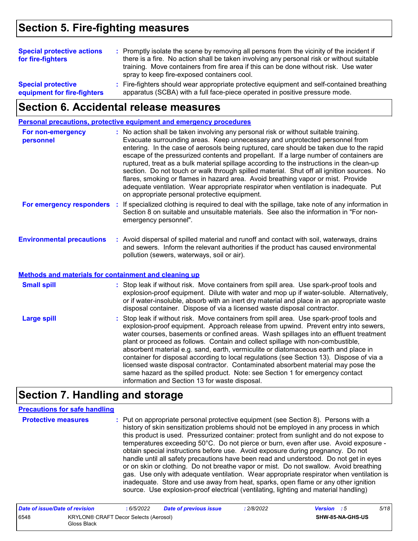### **Section 5. Fire-fighting measures**

| <b>Special protective actions</b><br>for fire-fighters   | : Promptly isolate the scene by removing all persons from the vicinity of the incident if<br>there is a fire. No action shall be taken involving any personal risk or without suitable<br>training. Move containers from fire area if this can be done without risk. Use water<br>spray to keep fire-exposed containers cool. |  |
|----------------------------------------------------------|-------------------------------------------------------------------------------------------------------------------------------------------------------------------------------------------------------------------------------------------------------------------------------------------------------------------------------|--|
| <b>Special protective</b><br>equipment for fire-fighters | : Fire-fighters should wear appropriate protective equipment and self-contained breathing<br>apparatus (SCBA) with a full face-piece operated in positive pressure mode.                                                                                                                                                      |  |

### **Section 6. Accidental release measures**

**Personal precautions, protective equipment and emergency procedures**

| For non-emergency<br>personnel   | : No action shall be taken involving any personal risk or without suitable training.<br>Evacuate surrounding areas. Keep unnecessary and unprotected personnel from<br>entering. In the case of aerosols being ruptured, care should be taken due to the rapid<br>escape of the pressurized contents and propellant. If a large number of containers are<br>ruptured, treat as a bulk material spillage according to the instructions in the clean-up<br>section. Do not touch or walk through spilled material. Shut off all ignition sources. No<br>flares, smoking or flames in hazard area. Avoid breathing vapor or mist. Provide<br>adequate ventilation. Wear appropriate respirator when ventilation is inadequate. Put<br>on appropriate personal protective equipment. |
|----------------------------------|----------------------------------------------------------------------------------------------------------------------------------------------------------------------------------------------------------------------------------------------------------------------------------------------------------------------------------------------------------------------------------------------------------------------------------------------------------------------------------------------------------------------------------------------------------------------------------------------------------------------------------------------------------------------------------------------------------------------------------------------------------------------------------|
| For emergency responders         | : If specialized clothing is required to deal with the spillage, take note of any information in<br>Section 8 on suitable and unsuitable materials. See also the information in "For non-<br>emergency personnel".                                                                                                                                                                                                                                                                                                                                                                                                                                                                                                                                                               |
| <b>Environmental precautions</b> | : Avoid dispersal of spilled material and runoff and contact with soil, waterways, drains<br>and sewers. Inform the relevant authorities if the product has caused environmental<br>pollution (sewers, waterways, soil or air).                                                                                                                                                                                                                                                                                                                                                                                                                                                                                                                                                  |

#### **Methods and materials for containment and cleaning up**

| <b>Small spill</b> | : Stop leak if without risk. Move containers from spill area. Use spark-proof tools and<br>explosion-proof equipment. Dilute with water and mop up if water-soluble. Alternatively,<br>or if water-insoluble, absorb with an inert dry material and place in an appropriate waste<br>disposal container. Dispose of via a licensed waste disposal contractor.                                                                                                                                                                                                                                                                                                                                                                                                        |
|--------------------|----------------------------------------------------------------------------------------------------------------------------------------------------------------------------------------------------------------------------------------------------------------------------------------------------------------------------------------------------------------------------------------------------------------------------------------------------------------------------------------------------------------------------------------------------------------------------------------------------------------------------------------------------------------------------------------------------------------------------------------------------------------------|
| Large spill        | : Stop leak if without risk. Move containers from spill area. Use spark-proof tools and<br>explosion-proof equipment. Approach release from upwind. Prevent entry into sewers,<br>water courses, basements or confined areas. Wash spillages into an effluent treatment<br>plant or proceed as follows. Contain and collect spillage with non-combustible,<br>absorbent material e.g. sand, earth, vermiculite or diatomaceous earth and place in<br>container for disposal according to local regulations (see Section 13). Dispose of via a<br>licensed waste disposal contractor. Contaminated absorbent material may pose the<br>same hazard as the spilled product. Note: see Section 1 for emergency contact<br>information and Section 13 for waste disposal. |

### **Section 7. Handling and storage**

#### **Precautions for safe handling**

**Protective measures Theory of the Exercic personal protective equipment (see Section 8). Persons with a metally** history of skin sensitization problems should not be employed in any process in which this product is used. Pressurized container: protect from sunlight and do not expose to temperatures exceeding 50°C. Do not pierce or burn, even after use. Avoid exposure obtain special instructions before use. Avoid exposure during pregnancy. Do not handle until all safety precautions have been read and understood. Do not get in eyes or on skin or clothing. Do not breathe vapor or mist. Do not swallow. Avoid breathing gas. Use only with adequate ventilation. Wear appropriate respirator when ventilation is inadequate. Store and use away from heat, sparks, open flame or any other ignition source. Use explosion-proof electrical (ventilating, lighting and material handling)

| Date of issue/Date of revision |                                                      | 6/5/2022 | <b>Date of previous issue</b> | : 2/8/2022 | <b>Version</b> : 5 |                  | 5/18 |
|--------------------------------|------------------------------------------------------|----------|-------------------------------|------------|--------------------|------------------|------|
| 6548                           | KRYLON® CRAFT Decor Selects (Aerosol)<br>Gloss Black |          |                               |            |                    | SHW-85-NA-GHS-US |      |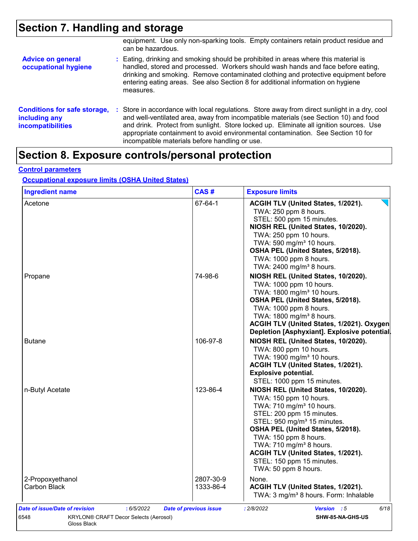# **Section 7. Handling and storage**

|                                                                                  | equipment. Use only non-sparking tools. Empty containers retain product residue and<br>can be hazardous.                                                                                                                                                                                                                                                                                                             |
|----------------------------------------------------------------------------------|----------------------------------------------------------------------------------------------------------------------------------------------------------------------------------------------------------------------------------------------------------------------------------------------------------------------------------------------------------------------------------------------------------------------|
| <b>Advice on general</b><br>occupational hygiene                                 | : Eating, drinking and smoking should be prohibited in areas where this material is<br>handled, stored and processed. Workers should wash hands and face before eating,<br>drinking and smoking. Remove contaminated clothing and protective equipment before<br>entering eating areas. See also Section 8 for additional information on hygiene<br>measures.                                                        |
| <b>Conditions for safe storage,</b><br>including any<br><b>incompatibilities</b> | : Store in accordance with local regulations. Store away from direct sunlight in a dry, cool<br>and well-ventilated area, away from incompatible materials (see Section 10) and food<br>and drink. Protect from sunlight. Store locked up. Eliminate all ignition sources. Use<br>appropriate containment to avoid environmental contamination. See Section 10 for<br>incompatible materials before handling or use. |

# **Section 8. Exposure controls/personal protection**

### **Control parameters**

### **Occupational exposure limits (OSHA United States)**

| <b>Ingredient name</b>                  | CAS#                   | <b>Exposure limits</b>                                                                                                                                                                                                                                                                                                                                                        |
|-----------------------------------------|------------------------|-------------------------------------------------------------------------------------------------------------------------------------------------------------------------------------------------------------------------------------------------------------------------------------------------------------------------------------------------------------------------------|
| Acetone                                 | 67-64-1                | ACGIH TLV (United States, 1/2021).<br>TWA: 250 ppm 8 hours.<br>STEL: 500 ppm 15 minutes.<br>NIOSH REL (United States, 10/2020).<br>TWA: 250 ppm 10 hours.<br>TWA: 590 mg/m <sup>3</sup> 10 hours.<br>OSHA PEL (United States, 5/2018).<br>TWA: 1000 ppm 8 hours.<br>TWA: 2400 mg/m <sup>3</sup> 8 hours.                                                                      |
| Propane                                 | 74-98-6                | NIOSH REL (United States, 10/2020).<br>TWA: 1000 ppm 10 hours.<br>TWA: 1800 mg/m <sup>3</sup> 10 hours.<br>OSHA PEL (United States, 5/2018).<br>TWA: 1000 ppm 8 hours.<br>TWA: 1800 mg/m <sup>3</sup> 8 hours.<br>ACGIH TLV (United States, 1/2021). Oxygen<br>Depletion [Asphyxiant]. Explosive potential.                                                                   |
| Butane                                  | 106-97-8               | NIOSH REL (United States, 10/2020).<br>TWA: 800 ppm 10 hours.<br>TWA: 1900 mg/m <sup>3</sup> 10 hours.<br>ACGIH TLV (United States, 1/2021).<br><b>Explosive potential.</b><br>STEL: 1000 ppm 15 minutes.                                                                                                                                                                     |
| n-Butyl Acetate                         | 123-86-4               | NIOSH REL (United States, 10/2020).<br>TWA: 150 ppm 10 hours.<br>TWA: 710 mg/m <sup>3</sup> 10 hours.<br>STEL: 200 ppm 15 minutes.<br>STEL: 950 mg/m <sup>3</sup> 15 minutes.<br>OSHA PEL (United States, 5/2018).<br>TWA: 150 ppm 8 hours.<br>TWA: 710 mg/m <sup>3</sup> 8 hours.<br>ACGIH TLV (United States, 1/2021).<br>STEL: 150 ppm 15 minutes.<br>TWA: 50 ppm 8 hours. |
| 2-Propoxyethanol<br><b>Carbon Black</b> | 2807-30-9<br>1333-86-4 | None.<br>ACGIH TLV (United States, 1/2021).<br>TWA: 3 mg/m <sup>3</sup> 8 hours. Form: Inhalable                                                                                                                                                                                                                                                                              |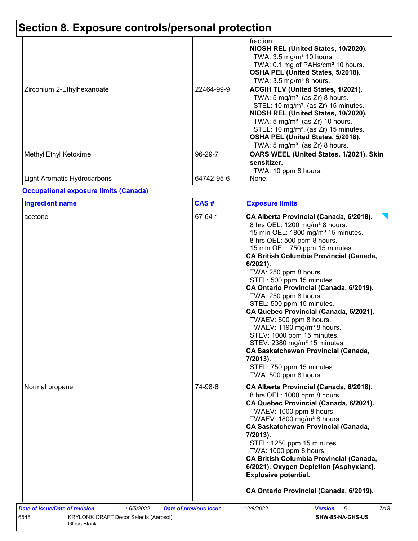| TWA: 0.1 mg of PAHs/cm <sup>3</sup> 10 hours.<br>OSHA PEL (United States, 5/2018).<br>TWA: $3.5 \text{ mg/m}^3$ 8 hours.<br>ACGIH TLV (United States, 1/2021).<br>TWA: 5 mg/m <sup>3</sup> , (as $Zr$ ) 8 hours.<br>STEL: 10 mg/m <sup>3</sup> , (as Zr) 15 minutes.<br>NIOSH REL (United States, 10/2020).<br>TWA: $5 \text{ mg/m}^3$ , (as Zr) 10 hours.<br>STEL: 10 mg/m <sup>3</sup> , (as Zr) 15 minutes.<br>OSHA PEL (United States, 5/2018). |
|-----------------------------------------------------------------------------------------------------------------------------------------------------------------------------------------------------------------------------------------------------------------------------------------------------------------------------------------------------------------------------------------------------------------------------------------------------|
| TWA: 5 mg/m <sup>3</sup> , (as $Zr$ ) 8 hours.<br>OARS WEEL (United States, 1/2021). Skin<br>sensitizer.<br>TWA: 10 ppm 8 hours.<br>None.                                                                                                                                                                                                                                                                                                           |
|                                                                                                                                                                                                                                                                                                                                                                                                                                                     |

### **Occupational exposure limits (Canada)**

| 67-64-1<br>CA Alberta Provincial (Canada, 6/2018).<br>acetone<br>8 hrs OEL: 1200 mg/m <sup>3</sup> 8 hours.<br>15 min OEL: 1800 mg/m <sup>3</sup> 15 minutes.<br>8 hrs OEL: 500 ppm 8 hours.<br>15 min OEL: 750 ppm 15 minutes.<br><b>CA British Columbia Provincial (Canada,</b><br>$6/2021$ ).<br>TWA: 250 ppm 8 hours.<br>STEL: 500 ppm 15 minutes.<br>CA Ontario Provincial (Canada, 6/2019).<br>TWA: 250 ppm 8 hours.<br>STEL: 500 ppm 15 minutes.<br>CA Quebec Provincial (Canada, 6/2021).<br>TWAEV: 500 ppm 8 hours.<br>TWAEV: 1190 mg/m <sup>3</sup> 8 hours.<br>STEV: 1000 ppm 15 minutes.<br>STEV: 2380 mg/m <sup>3</sup> 15 minutes.<br><b>CA Saskatchewan Provincial (Canada,</b><br>7/2013).<br>STEL: 750 ppm 15 minutes.<br>TWA: 500 ppm 8 hours.<br>74-98-6<br>Normal propane<br>CA Alberta Provincial (Canada, 6/2018).<br>8 hrs OEL: 1000 ppm 8 hours.<br>CA Quebec Provincial (Canada, 6/2021).<br>TWAEV: 1000 ppm 8 hours.<br>TWAEV: 1800 mg/m <sup>3</sup> 8 hours.<br><b>CA Saskatchewan Provincial (Canada,</b><br>7/2013).<br>STEL: 1250 ppm 15 minutes.<br>TWA: 1000 ppm 8 hours.<br><b>CA British Columbia Provincial (Canada,</b><br>6/2021). Oxygen Depletion [Asphyxiant].<br><b>Explosive potential.</b><br>CA Ontario Provincial (Canada, 6/2019).<br><b>Date of issue/Date of revision</b><br>: 6/5/2022<br>Version : 5<br>: 2/8/2022<br><b>Date of previous issue</b> | <b>Ingredient name</b> | CAS# | <b>Exposure limits</b> |
|--------------------------------------------------------------------------------------------------------------------------------------------------------------------------------------------------------------------------------------------------------------------------------------------------------------------------------------------------------------------------------------------------------------------------------------------------------------------------------------------------------------------------------------------------------------------------------------------------------------------------------------------------------------------------------------------------------------------------------------------------------------------------------------------------------------------------------------------------------------------------------------------------------------------------------------------------------------------------------------------------------------------------------------------------------------------------------------------------------------------------------------------------------------------------------------------------------------------------------------------------------------------------------------------------------------------------------------------------------------------------------------------------------|------------------------|------|------------------------|
|                                                                                                                                                                                                                                                                                                                                                                                                                                                                                                                                                                                                                                                                                                                                                                                                                                                                                                                                                                                                                                                                                                                                                                                                                                                                                                                                                                                                        |                        |      |                        |
|                                                                                                                                                                                                                                                                                                                                                                                                                                                                                                                                                                                                                                                                                                                                                                                                                                                                                                                                                                                                                                                                                                                                                                                                                                                                                                                                                                                                        |                        |      |                        |
|                                                                                                                                                                                                                                                                                                                                                                                                                                                                                                                                                                                                                                                                                                                                                                                                                                                                                                                                                                                                                                                                                                                                                                                                                                                                                                                                                                                                        |                        |      |                        |
|                                                                                                                                                                                                                                                                                                                                                                                                                                                                                                                                                                                                                                                                                                                                                                                                                                                                                                                                                                                                                                                                                                                                                                                                                                                                                                                                                                                                        |                        |      | 7/18                   |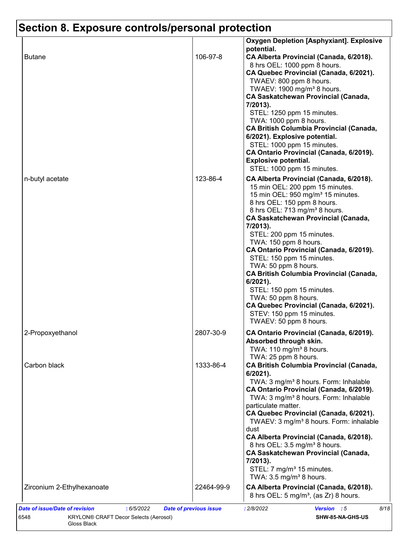|                            |            | <b>Oxygen Depletion [Asphyxiant]. Explosive</b><br>potential.                                                                                                                                                                                                                                                                                                                                                                                                                                                                                                                                                                                  |
|----------------------------|------------|------------------------------------------------------------------------------------------------------------------------------------------------------------------------------------------------------------------------------------------------------------------------------------------------------------------------------------------------------------------------------------------------------------------------------------------------------------------------------------------------------------------------------------------------------------------------------------------------------------------------------------------------|
| <b>Butane</b>              | 106-97-8   | CA Alberta Provincial (Canada, 6/2018).<br>8 hrs OEL: 1000 ppm 8 hours.<br>CA Quebec Provincial (Canada, 6/2021).<br>TWAEV: 800 ppm 8 hours.<br>TWAEV: 1900 mg/m <sup>3</sup> 8 hours.<br><b>CA Saskatchewan Provincial (Canada,</b><br>7/2013).<br>STEL: 1250 ppm 15 minutes.<br>TWA: 1000 ppm 8 hours.<br><b>CA British Columbia Provincial (Canada,</b><br>6/2021). Explosive potential.<br>STEL: 1000 ppm 15 minutes.<br>CA Ontario Provincial (Canada, 6/2019).                                                                                                                                                                           |
|                            |            | <b>Explosive potential.</b><br>STEL: 1000 ppm 15 minutes.                                                                                                                                                                                                                                                                                                                                                                                                                                                                                                                                                                                      |
| n-butyl acetate            | 123-86-4   | CA Alberta Provincial (Canada, 6/2018).<br>15 min OEL: 200 ppm 15 minutes.<br>15 min OEL: 950 mg/m <sup>3</sup> 15 minutes.<br>8 hrs OEL: 150 ppm 8 hours.<br>8 hrs OEL: 713 mg/m <sup>3</sup> 8 hours.<br><b>CA Saskatchewan Provincial (Canada,</b><br>7/2013).<br>STEL: 200 ppm 15 minutes.<br>TWA: 150 ppm 8 hours.<br>CA Ontario Provincial (Canada, 6/2019).<br>STEL: 150 ppm 15 minutes.<br>TWA: 50 ppm 8 hours.<br><b>CA British Columbia Provincial (Canada,</b><br>$6/2021$ ).<br>STEL: 150 ppm 15 minutes.<br>TWA: 50 ppm 8 hours.<br>CA Quebec Provincial (Canada, 6/2021).<br>STEV: 150 ppm 15 minutes.<br>TWAEV: 50 ppm 8 hours. |
| 2-Propoxyethanol           | 2807-30-9  | CA Ontario Provincial (Canada, 6/2019).<br>Absorbed through skin.<br>TWA: 110 mg/m <sup>3</sup> 8 hours.                                                                                                                                                                                                                                                                                                                                                                                                                                                                                                                                       |
| Carbon black               | 1333-86-4  | TWA: 25 ppm 8 hours.<br><b>CA British Columbia Provincial (Canada,</b><br>6/2021).<br>TWA: 3 mg/m <sup>3</sup> 8 hours. Form: Inhalable<br>CA Ontario Provincial (Canada, 6/2019).<br>TWA: 3 mg/m <sup>3</sup> 8 hours. Form: Inhalable<br>particulate matter.<br>CA Quebec Provincial (Canada, 6/2021).<br>TWAEV: 3 mg/m <sup>3</sup> 8 hours. Form: inhalable<br>dust<br>CA Alberta Provincial (Canada, 6/2018).<br>8 hrs OEL: 3.5 mg/m <sup>3</sup> 8 hours.<br><b>CA Saskatchewan Provincial (Canada,</b><br>7/2013).<br>STEL: 7 mg/m <sup>3</sup> 15 minutes.<br>TWA: $3.5 \text{ mg/m}^3$ 8 hours.                                       |
| Zirconium 2-Ethylhexanoate | 22464-99-9 | CA Alberta Provincial (Canada, 6/2018).<br>8 hrs OEL: 5 mg/m <sup>3</sup> , (as Zr) 8 hours.                                                                                                                                                                                                                                                                                                                                                                                                                                                                                                                                                   |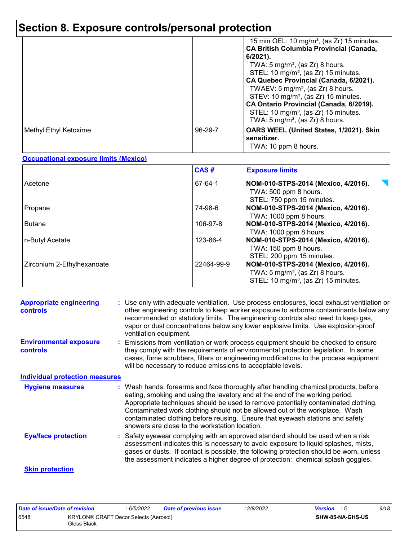|                       |         | 15 min OEL: 10 mg/m <sup>3</sup> , (as Zr) 15 minutes.<br><b>CA British Columbia Provincial (Canada,</b><br>$6/2021$ ).<br>TWA: $5 \text{ mg/m}^3$ , (as Zr) 8 hours.<br>STEL: 10 mg/m <sup>3</sup> , (as Zr) 15 minutes.<br>CA Quebec Provincial (Canada, 6/2021).<br>TWAEV: $5 \text{ mg/m}^3$ , (as Zr) 8 hours.<br>STEV: 10 mg/m <sup>3</sup> , (as Zr) 15 minutes.<br>CA Ontario Provincial (Canada, 6/2019).<br>STEL: 10 mg/m <sup>3</sup> , (as Zr) 15 minutes. |
|-----------------------|---------|------------------------------------------------------------------------------------------------------------------------------------------------------------------------------------------------------------------------------------------------------------------------------------------------------------------------------------------------------------------------------------------------------------------------------------------------------------------------|
|                       |         | TWA: 5 mg/m <sup>3</sup> , (as Zr) 8 hours.                                                                                                                                                                                                                                                                                                                                                                                                                            |
| Methyl Ethyl Ketoxime | 96-29-7 | OARS WEEL (United States, 1/2021). Skin<br>sensitizer.<br>TWA: 10 ppm 8 hours.                                                                                                                                                                                                                                                                                                                                                                                         |

### **Occupational exposure limits (Mexico)**

|                            | CAS#       | <b>Exposure limits</b>                                                                                                                |
|----------------------------|------------|---------------------------------------------------------------------------------------------------------------------------------------|
| Acetone                    | 67-64-1    | NOM-010-STPS-2014 (Mexico, 4/2016).<br>TWA: 500 ppm 8 hours.<br>STEL: 750 ppm 15 minutes.                                             |
| Propane                    | 74-98-6    | NOM-010-STPS-2014 (Mexico, 4/2016).<br>TWA: 1000 ppm 8 hours.                                                                         |
| <b>Butane</b>              | 106-97-8   | NOM-010-STPS-2014 (Mexico, 4/2016).<br>TWA: 1000 ppm 8 hours.                                                                         |
| n-Butyl Acetate            | 123-86-4   | NOM-010-STPS-2014 (Mexico, 4/2016).<br>TWA: 150 ppm 8 hours.<br>STEL: 200 ppm 15 minutes.                                             |
| Zirconium 2-Ethylhexanoate | 22464-99-9 | NOM-010-STPS-2014 (Mexico, 4/2016).<br>TWA: $5 \text{ mg/m}^3$ , (as Zr) 8 hours.<br>STEL: 10 mg/m <sup>3</sup> , (as Zr) 15 minutes. |

| <b>Appropriate engineering</b><br><b>controls</b> | : Use only with adequate ventilation. Use process enclosures, local exhaust ventilation or<br>other engineering controls to keep worker exposure to airborne contaminants below any<br>recommended or statutory limits. The engineering controls also need to keep gas,<br>vapor or dust concentrations below any lower explosive limits. Use explosion-proof<br>ventilation equipment.                                                                                     |
|---------------------------------------------------|-----------------------------------------------------------------------------------------------------------------------------------------------------------------------------------------------------------------------------------------------------------------------------------------------------------------------------------------------------------------------------------------------------------------------------------------------------------------------------|
| <b>Environmental exposure</b><br><b>controls</b>  | Emissions from ventilation or work process equipment should be checked to ensure<br>they comply with the requirements of environmental protection legislation. In some<br>cases, fume scrubbers, filters or engineering modifications to the process equipment<br>will be necessary to reduce emissions to acceptable levels.                                                                                                                                               |
| <b>Individual protection measures</b>             |                                                                                                                                                                                                                                                                                                                                                                                                                                                                             |
| <b>Hygiene measures</b>                           | : Wash hands, forearms and face thoroughly after handling chemical products, before<br>eating, smoking and using the lavatory and at the end of the working period.<br>Appropriate techniques should be used to remove potentially contaminated clothing.<br>Contaminated work clothing should not be allowed out of the workplace. Wash<br>contaminated clothing before reusing. Ensure that eyewash stations and safety<br>showers are close to the workstation location. |
| <b>Eye/face protection</b>                        | Safety eyewear complying with an approved standard should be used when a risk<br>assessment indicates this is necessary to avoid exposure to liquid splashes, mists,<br>gases or dusts. If contact is possible, the following protection should be worn, unless<br>the assessment indicates a higher degree of protection: chemical splash goggles.                                                                                                                         |
| <b>Skin protection</b>                            |                                                                                                                                                                                                                                                                                                                                                                                                                                                                             |

| Date of issue/Date of revision |                                                             | 6/5/2022 | <b>Date of previous issue</b> | : 2/8/2022 | <b>Version</b> : 5 |                  | 9/18 |
|--------------------------------|-------------------------------------------------------------|----------|-------------------------------|------------|--------------------|------------------|------|
| 6548                           | <b>KRYLON® CRAFT Decor Selects (Aerosol)</b><br>Gloss Black |          |                               |            |                    | SHW-85-NA-GHS-US |      |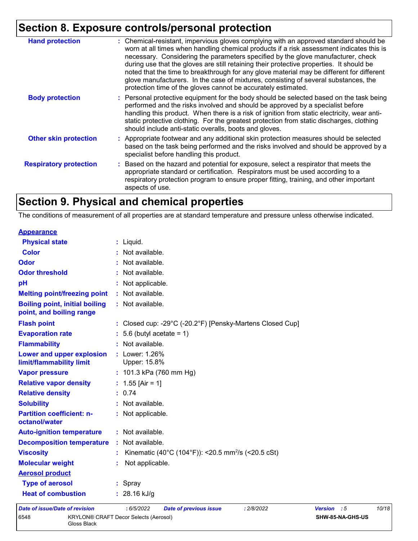| <b>Hand protection</b>        | : Chemical-resistant, impervious gloves complying with an approved standard should be<br>worn at all times when handling chemical products if a risk assessment indicates this is<br>necessary. Considering the parameters specified by the glove manufacturer, check<br>during use that the gloves are still retaining their protective properties. It should be<br>noted that the time to breakthrough for any glove material may be different for different<br>glove manufacturers. In the case of mixtures, consisting of several substances, the<br>protection time of the gloves cannot be accurately estimated. |
|-------------------------------|------------------------------------------------------------------------------------------------------------------------------------------------------------------------------------------------------------------------------------------------------------------------------------------------------------------------------------------------------------------------------------------------------------------------------------------------------------------------------------------------------------------------------------------------------------------------------------------------------------------------|
| <b>Body protection</b>        | : Personal protective equipment for the body should be selected based on the task being<br>performed and the risks involved and should be approved by a specialist before<br>handling this product. When there is a risk of ignition from static electricity, wear anti-<br>static protective clothing. For the greatest protection from static discharges, clothing<br>should include anti-static overalls, boots and gloves.                                                                                                                                                                                         |
| <b>Other skin protection</b>  | : Appropriate footwear and any additional skin protection measures should be selected<br>based on the task being performed and the risks involved and should be approved by a<br>specialist before handling this product.                                                                                                                                                                                                                                                                                                                                                                                              |
| <b>Respiratory protection</b> | : Based on the hazard and potential for exposure, select a respirator that meets the<br>appropriate standard or certification. Respirators must be used according to a<br>respiratory protection program to ensure proper fitting, training, and other important<br>aspects of use.                                                                                                                                                                                                                                                                                                                                    |

## **Section 9. Physical and chemical properties**

The conditions of measurement of all properties are at standard temperature and pressure unless otherwise indicated.

| <b>Appearance</b>                                                 |                                                                |                |     |     |
|-------------------------------------------------------------------|----------------------------------------------------------------|----------------|-----|-----|
| <b>Physical state</b>                                             | : Liquid.                                                      |                |     |     |
| <b>Color</b>                                                      | Not available.                                                 |                |     |     |
| Odor                                                              | Not available.                                                 |                |     |     |
| <b>Odor threshold</b>                                             | Not available.                                                 |                |     |     |
| pH                                                                | Not applicable.                                                |                |     |     |
| <b>Melting point/freezing point</b>                               | : Not available.                                               |                |     |     |
| <b>Boiling point, initial boiling</b><br>point, and boiling range | : Not available.                                               |                |     |     |
| <b>Flash point</b>                                                | : Closed cup: -29°C (-20.2°F) [Pensky-Martens Closed Cup]      |                |     |     |
| <b>Evaporation rate</b>                                           | 5.6 (butyl acetate = $1$ )                                     |                |     |     |
| <b>Flammability</b>                                               | : Not available.                                               |                |     |     |
| Lower and upper explosion<br>limit/flammability limit             | : Lower: 1.26%<br>Upper: 15.8%                                 |                |     |     |
| <b>Vapor pressure</b>                                             | : 101.3 kPa (760 mm Hg)                                        |                |     |     |
| <b>Relative vapor density</b>                                     | : $1.55$ [Air = 1]                                             |                |     |     |
| <b>Relative density</b>                                           | : 0.74                                                         |                |     |     |
| <b>Solubility</b>                                                 | : Not available.                                               |                |     |     |
| <b>Partition coefficient: n-</b><br>octanol/water                 | : Not applicable.                                              |                |     |     |
| <b>Auto-ignition temperature</b>                                  | : Not available.                                               |                |     |     |
| <b>Decomposition temperature</b>                                  | : Not available.                                               |                |     |     |
| <b>Viscosity</b>                                                  | Kinematic (40°C (104°F)): <20.5 mm <sup>2</sup> /s (<20.5 cSt) |                |     |     |
| <b>Molecular weight</b>                                           | Not applicable.                                                |                |     |     |
| <b>Aerosol product</b>                                            |                                                                |                |     |     |
| <b>Type of aerosol</b>                                            | : Spray                                                        |                |     |     |
| <b>Heat of combustion</b>                                         | $: 28.16$ kJ/g                                                 |                |     |     |
| Date of issue/Date of revision                                    | : 2/8/2022<br>6/5/2022<br>Date of previous issue               | <b>Version</b> | - 5 | 10/ |

*Date of issue/Date of revision* **:** *6/5/2022 Date of previous issue : 2/8/2022 Version : 5 10/18* 6548 KRYLON® CRAFT Decor Selects (Aerosol) Gloss Black **SHW-85-NA-GHS-US**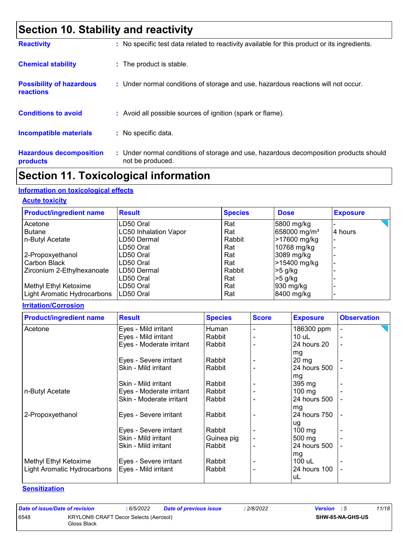### **Section 10. Stability and reactivity**

| <b>Reactivity</b>                            | : No specific test data related to reactivity available for this product or its ingredients.              |
|----------------------------------------------|-----------------------------------------------------------------------------------------------------------|
| <b>Chemical stability</b>                    | : The product is stable.                                                                                  |
| <b>Possibility of hazardous</b><br>reactions | : Under normal conditions of storage and use, hazardous reactions will not occur.                         |
| <b>Conditions to avoid</b>                   | : Avoid all possible sources of ignition (spark or flame).                                                |
| <b>Incompatible materials</b>                | : No specific data.                                                                                       |
| <b>Hazardous decomposition</b><br>products   | : Under normal conditions of storage and use, hazardous decomposition products should<br>not be produced. |

### **Section 11. Toxicological information**

### **Information on toxicological effects**

#### **Acute toxicity**

| <b>Product/ingredient name</b> | <b>Result</b>                | <b>Species</b> | <b>Dose</b>              | <b>Exposure</b> |
|--------------------------------|------------------------------|----------------|--------------------------|-----------------|
| Acetone                        | LD50 Oral                    | Rat            | 5800 mg/kg               |                 |
| <b>Butane</b>                  | <b>LC50 Inhalation Vapor</b> | Rat            | 658000 mg/m <sup>3</sup> | 4 hours         |
| n-Butyl Acetate                | LD50 Dermal                  | Rabbit         | >17600 mg/kg             |                 |
|                                | LD50 Oral                    | Rat            | 10768 mg/kg              |                 |
| 2-Propoxyethanol               | LD50 Oral                    | Rat            | 3089 mg/kg               |                 |
| Carbon Black                   | LD50 Oral                    | Rat            | >15400 mg/kg             |                 |
| Zirconium 2-Ethylhexanoate     | LD50 Dermal                  | Rabbit         | $>5$ g/kg                |                 |
|                                | LD50 Oral                    | Rat            | $>5$ g/kg                |                 |
| Methyl Ethyl Ketoxime          | LD50 Oral                    | Rat            | 930 mg/kg                |                 |
| Light Aromatic Hydrocarbons    | ILD50 Oral                   | Rat            | 8400 mg/kg               |                 |

#### **Irritation/Corrosion**

| <b>Product/ingredient name</b> | <b>Result</b>            | <b>Species</b> | <b>Score</b> | <b>Exposure</b>  | <b>Observation</b> |
|--------------------------------|--------------------------|----------------|--------------|------------------|--------------------|
| Acetone                        | Eyes - Mild irritant     | Human          |              | 186300 ppm       |                    |
|                                | Eyes - Mild irritant     | Rabbit         |              | 10 uL            |                    |
|                                | Eyes - Moderate irritant | Rabbit         |              | 24 hours 20      |                    |
|                                |                          |                |              | mg               |                    |
|                                | Eyes - Severe irritant   | Rabbit         |              | $20 \text{ mg}$  |                    |
|                                | Skin - Mild irritant     | Rabbit         |              | 24 hours 500     |                    |
|                                |                          |                |              | mg               |                    |
|                                | Skin - Mild irritant     | Rabbit         |              | $395 \text{ mg}$ |                    |
| n-Butyl Acetate                | Eyes - Moderate irritant | Rabbit         |              | $100$ mg         |                    |
|                                | Skin - Moderate irritant | Rabbit         |              | 24 hours 500     |                    |
|                                |                          |                |              | mg               |                    |
| 2-Propoxyethanol               | Eyes - Severe irritant   | Rabbit         |              | 24 hours 750     |                    |
|                                |                          |                |              | ug               |                    |
|                                | Eyes - Severe irritant   | Rabbit         |              | $100 \text{ mg}$ |                    |
|                                | Skin - Mild irritant     | Guinea pig     |              | $500 \text{ mg}$ |                    |
|                                | Skin - Mild irritant     | Rabbit         |              | 24 hours 500     |                    |
|                                |                          |                |              | mg               |                    |
| Methyl Ethyl Ketoxime          | Eyes - Severe irritant   | Rabbit         |              | 100 uL           |                    |
| Light Aromatic Hydrocarbons    | Eyes - Mild irritant     | Rabbit         |              | 24 hours 100     |                    |
|                                |                          |                |              | uL               |                    |

#### **Sensitization**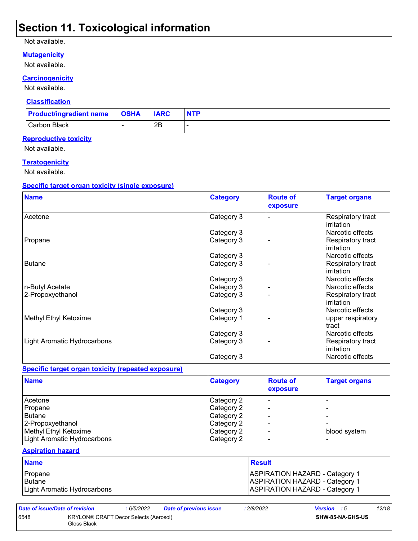### **Section 11. Toxicological information**

#### Not available.

#### **Mutagenicity**

#### Not available.

#### **Carcinogenicity**

Not available.

#### **Classification**

| <b>Product/ingredient name</b> | <b>OSHA</b> | <b>IARC</b> | <b>NTP</b> |
|--------------------------------|-------------|-------------|------------|
| Carbon Black                   |             | 2B          |            |

#### **Reproductive toxicity**

Not available.

### **Teratogenicity**

Not available.

#### **Specific target organ toxicity (single exposure)**

| <b>Name</b>                 | <b>Category</b> | <b>Route of</b><br>exposure | <b>Target organs</b>            |
|-----------------------------|-----------------|-----------------------------|---------------------------------|
| Acetone                     | Category 3      |                             | Respiratory tract<br>irritation |
|                             | Category 3      |                             | Narcotic effects                |
| Propane                     | Category 3      |                             | Respiratory tract<br>irritation |
|                             | Category 3      |                             | Narcotic effects                |
| <b>Butane</b>               | Category 3      |                             | Respiratory tract<br>irritation |
|                             | Category 3      |                             | Narcotic effects                |
| n-Butyl Acetate             | Category 3      |                             | Narcotic effects                |
| 2-Propoxyethanol            | Category 3      |                             | Respiratory tract<br>irritation |
|                             | Category 3      |                             | Narcotic effects                |
| Methyl Ethyl Ketoxime       | Category 1      |                             | upper respiratory<br>tract      |
|                             | Category 3      |                             | Narcotic effects                |
| Light Aromatic Hydrocarbons | Category 3      |                             | Respiratory tract<br>irritation |
|                             | Category 3      |                             | Narcotic effects                |

### **Specific target organ toxicity (repeated exposure)**

| <b>Name</b>                 | <b>Category</b> | <b>Route of</b><br>exposure | <b>Target organs</b> |
|-----------------------------|-----------------|-----------------------------|----------------------|
| Acetone                     | Category 2      |                             |                      |
| Propane                     | Category 2      |                             |                      |
| Butane                      | Category 2      |                             |                      |
| 2-Propoxyethanol            | Category 2      |                             |                      |
| Methyl Ethyl Ketoxime       | Category 2      |                             | blood system         |
| Light Aromatic Hydrocarbons | Category 2      |                             |                      |

### **Aspiration hazard**

| <b>Name</b>                 | <b>Result</b>                         |
|-----------------------------|---------------------------------------|
| Propane                     | <b>ASPIRATION HAZARD - Category 1</b> |
| Butane                      | <b>ASPIRATION HAZARD - Category 1</b> |
| Light Aromatic Hydrocarbons | <b>ASPIRATION HAZARD - Category 1</b> |

*Date of issue/Date of revision* **:** *6/5/2022 Date of previous issue : 2/8/2022 Version : 5 12/18* 6548 KRYLON® CRAFT Decor Selects (Aerosol) Gloss Black **SHW-85-NA-GHS-US**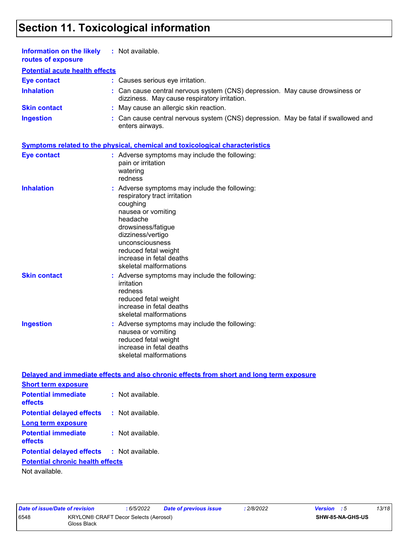## **Section 11. Toxicological information**

| Information on the likely<br>routes of exposure           | : Not available.                                                                                                                                                                                                                                                        |
|-----------------------------------------------------------|-------------------------------------------------------------------------------------------------------------------------------------------------------------------------------------------------------------------------------------------------------------------------|
| <b>Potential acute health effects</b>                     |                                                                                                                                                                                                                                                                         |
| <b>Eye contact</b>                                        | : Causes serious eye irritation.                                                                                                                                                                                                                                        |
| <b>Inhalation</b>                                         | : Can cause central nervous system (CNS) depression. May cause drowsiness or<br>dizziness. May cause respiratory irritation.                                                                                                                                            |
| <b>Skin contact</b>                                       | : May cause an allergic skin reaction.                                                                                                                                                                                                                                  |
| <b>Ingestion</b>                                          | : Can cause central nervous system (CNS) depression. May be fatal if swallowed and<br>enters airways.                                                                                                                                                                   |
|                                                           | <b>Symptoms related to the physical, chemical and toxicological characteristics</b>                                                                                                                                                                                     |
| <b>Eye contact</b>                                        | : Adverse symptoms may include the following:<br>pain or irritation<br>watering<br>redness                                                                                                                                                                              |
| <b>Inhalation</b>                                         | : Adverse symptoms may include the following:<br>respiratory tract irritation<br>coughing<br>nausea or vomiting<br>headache<br>drowsiness/fatigue<br>dizziness/vertigo<br>unconsciousness<br>reduced fetal weight<br>increase in fetal deaths<br>skeletal malformations |
| <b>Skin contact</b>                                       | : Adverse symptoms may include the following:<br>irritation<br>redness<br>reduced fetal weight<br>increase in fetal deaths<br>skeletal malformations                                                                                                                    |
| <b>Ingestion</b>                                          | : Adverse symptoms may include the following:<br>nausea or vomiting<br>reduced fetal weight<br>increase in fetal deaths<br>skeletal malformations                                                                                                                       |
|                                                           | Delayed and immediate effects and also chronic effects from short and long term exposure                                                                                                                                                                                |
| <b>Short term exposure</b>                                |                                                                                                                                                                                                                                                                         |
| <b>Potential immediate</b><br>effects                     | : Not available.                                                                                                                                                                                                                                                        |
| <b>Potential delayed effects</b>                          | : Not available.                                                                                                                                                                                                                                                        |
| <b>Long term exposure</b>                                 |                                                                                                                                                                                                                                                                         |
| <b>Potential immediate</b><br>effects                     | : Not available.                                                                                                                                                                                                                                                        |
| <b>Potential delayed effects</b>                          | : Not available.                                                                                                                                                                                                                                                        |
| <b>Potential chronic health effects</b><br>Not available. |                                                                                                                                                                                                                                                                         |
|                                                           |                                                                                                                                                                                                                                                                         |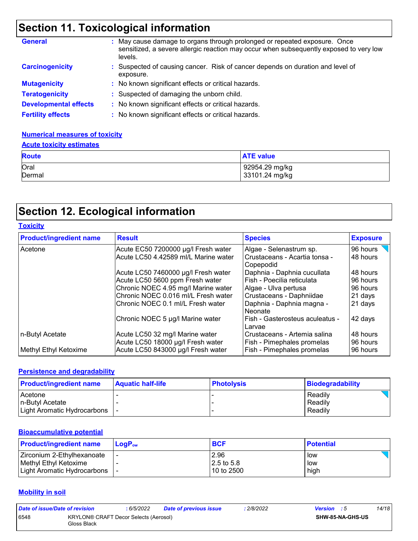# **Section 11. Toxicological information**

| <b>General</b>               | May cause damage to organs through prolonged or repeated exposure. Once<br>sensitized, a severe allergic reaction may occur when subsequently exposed to very low<br>levels. |
|------------------------------|------------------------------------------------------------------------------------------------------------------------------------------------------------------------------|
| <b>Carcinogenicity</b>       | : Suspected of causing cancer. Risk of cancer depends on duration and level of<br>exposure.                                                                                  |
| <b>Mutagenicity</b>          | : No known significant effects or critical hazards.                                                                                                                          |
| <b>Teratogenicity</b>        | : Suspected of damaging the unborn child.                                                                                                                                    |
| <b>Developmental effects</b> | No known significant effects or critical hazards.                                                                                                                            |
| <b>Fertility effects</b>     | : No known significant effects or critical hazards.                                                                                                                          |

### **Numerical measures of toxicity**

# **Acute toxicity estimates**

| <b>Route</b>   | <b>ATE value</b>                 |
|----------------|----------------------------------|
| Oral<br>Dermal | 92954.29 mg/kg<br>33101.24 mg/kg |
|                |                                  |

### **Section 12. Ecological information**

|  |  | Toxicitv |
|--|--|----------|
|  |  |          |

| <b>Product/ingredient name</b> | <b>Result</b>                                                        | <b>Species</b>                                             | <b>Exposure</b>      |
|--------------------------------|----------------------------------------------------------------------|------------------------------------------------------------|----------------------|
| Acetone                        | Acute EC50 7200000 µg/l Fresh water                                  | Algae - Selenastrum sp.                                    | 96 hours             |
|                                | Acute LC50 4.42589 ml/L Marine water                                 | Crustaceans - Acartia tonsa -<br>Copepodid                 | 48 hours             |
|                                | Acute LC50 7460000 µg/l Fresh water                                  | Daphnia - Daphnia cucullata                                | 48 hours             |
|                                | Acute LC50 5600 ppm Fresh water                                      | Fish - Poecilia reticulata                                 | 96 hours             |
|                                | Chronic NOEC 4.95 mg/l Marine water                                  | Algae - Ulva pertusa                                       | 96 hours             |
|                                | Chronic NOEC 0.016 ml/L Fresh water                                  | Crustaceans - Daphniidae                                   | 21 days              |
|                                | Chronic NOEC 0.1 ml/L Fresh water                                    | Daphnia - Daphnia magna -<br>Neonate                       | 21 days              |
|                                | Chronic NOEC 5 µg/l Marine water                                     | Fish - Gasterosteus aculeatus -<br>Larvae                  | 42 days              |
| n-Butyl Acetate                | Acute LC50 32 mg/l Marine water<br>Acute LC50 18000 µg/l Fresh water | Crustaceans - Artemia salina<br>Fish - Pimephales promelas | 48 hours<br>96 hours |
| Methyl Ethyl Ketoxime          | Acute LC50 843000 µg/l Fresh water                                   | Fish - Pimephales promelas                                 | 96 hours             |

### **Persistence and degradability**

| <b>Product/ingredient name</b> | <b>Aquatic half-life</b> | <b>Photolysis</b> | <b>Biodegradability</b> |
|--------------------------------|--------------------------|-------------------|-------------------------|
| Acetone                        |                          |                   | Readily                 |
| In-Butvl Acetate               |                          |                   | Readily                 |
| Light Aromatic Hydrocarbons    |                          |                   | Readily                 |

#### **Bioaccumulative potential**

| <b>Product/ingredient name</b> | $LoaPow$ | <b>BCF</b>   | <b>Potential</b> |
|--------------------------------|----------|--------------|------------------|
| Zirconium 2-Ethylhexanoate     |          | 2.96         | low              |
| Methyl Ethyl Ketoxime          |          | l 2.5 to 5.8 | low              |
| Light Aromatic Hydrocarbons    |          | 10 to 2500   | high             |

### **Mobility in soil**

| Date of issue/Date of revision |                                                      | : 6/5/2022 | <b>Date of previous issue</b> | : 2/8/2022 | <b>Version</b> : 5 |                         | 14/18 |
|--------------------------------|------------------------------------------------------|------------|-------------------------------|------------|--------------------|-------------------------|-------|
| 6548                           | KRYLON® CRAFT Decor Selects (Aerosol)<br>Gloss Black |            |                               |            |                    | <b>SHW-85-NA-GHS-US</b> |       |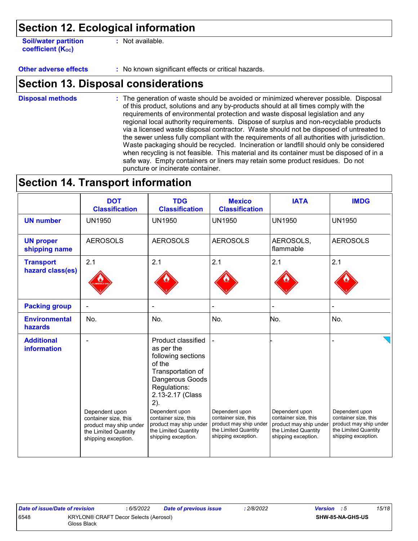### **Section 12. Ecological information**

**Soil/water partition coefficient (Koc)** 

**:** Not available.

**Other adverse effects** : No known significant effects or critical hazards.

### **Section 13. Disposal considerations**

The generation of waste should be avoided or minimized wherever possible. Disposal of this product, solutions and any by-products should at all times comply with the requirements of environmental protection and waste disposal legislation and any regional local authority requirements. Dispose of surplus and non-recyclable products via a licensed waste disposal contractor. Waste should not be disposed of untreated to the sewer unless fully compliant with the requirements of all authorities with jurisdiction. Waste packaging should be recycled. Incineration or landfill should only be considered when recycling is not feasible. This material and its container must be disposed of in a safe way. Empty containers or liners may retain some product residues. Do not puncture or incinerate container. **Disposal methods :**

### **Section 14. Transport information**

|                                         | <b>DOT</b><br><b>Classification</b>                                                           | <b>TDG</b><br><b>Classification</b>                                                                                                                                   | <b>Mexico</b><br><b>Classification</b>                                                        | <b>IATA</b>                                                                                   | <b>IMDG</b>                                                                                   |
|-----------------------------------------|-----------------------------------------------------------------------------------------------|-----------------------------------------------------------------------------------------------------------------------------------------------------------------------|-----------------------------------------------------------------------------------------------|-----------------------------------------------------------------------------------------------|-----------------------------------------------------------------------------------------------|
| <b>UN number</b>                        | <b>UN1950</b>                                                                                 | <b>UN1950</b>                                                                                                                                                         | <b>UN1950</b>                                                                                 | <b>UN1950</b>                                                                                 | <b>UN1950</b>                                                                                 |
| <b>UN proper</b><br>shipping name       | <b>AEROSOLS</b>                                                                               | <b>AEROSOLS</b>                                                                                                                                                       | <b>AEROSOLS</b>                                                                               | AEROSOLS,<br>flammable                                                                        | <b>AEROSOLS</b>                                                                               |
| <b>Transport</b><br>hazard class(es)    | 2.1                                                                                           | 2.1                                                                                                                                                                   | 2.1                                                                                           | 2.1                                                                                           | 2.1                                                                                           |
| <b>Packing group</b>                    |                                                                                               |                                                                                                                                                                       |                                                                                               |                                                                                               |                                                                                               |
| <b>Environmental</b><br>hazards         | No.                                                                                           | No.                                                                                                                                                                   | No.                                                                                           | No.                                                                                           | No.                                                                                           |
| <b>Additional</b><br><b>information</b> | Dependent upon                                                                                | Product classified<br>as per the<br>following sections<br>of the<br>Transportation of<br>Dangerous Goods<br>Regulations:<br>2.13-2.17 (Class<br>2).<br>Dependent upon | Dependent upon                                                                                | Dependent upon                                                                                | Dependent upon                                                                                |
|                                         | container size, this<br>product may ship under<br>the Limited Quantity<br>shipping exception. | container size, this<br>product may ship under<br>the Limited Quantity<br>shipping exception.                                                                         | container size, this<br>product may ship under<br>the Limited Quantity<br>shipping exception. | container size, this<br>product may ship under<br>the Limited Quantity<br>shipping exception. | container size, this<br>product may ship under<br>the Limited Quantity<br>shipping exception. |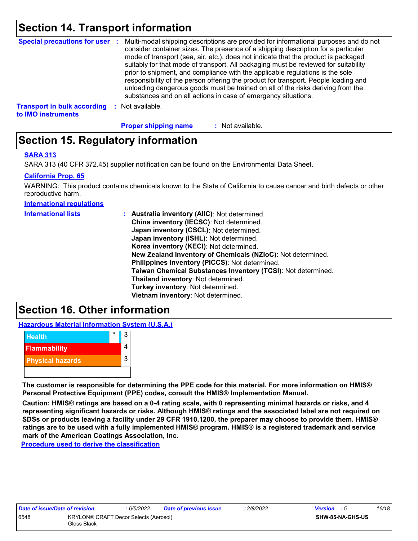### **Section 14. Transport information**

|                                    | Special precautions for user : Multi-modal shipping descriptions are provided for informational purposes and do not<br>consider container sizes. The presence of a shipping description for a particular<br>mode of transport (sea, air, etc.), does not indicate that the product is packaged<br>suitably for that mode of transport. All packaging must be reviewed for suitability<br>prior to shipment, and compliance with the applicable regulations is the sole<br>responsibility of the person offering the product for transport. People loading and<br>unloading dangerous goods must be trained on all of the risks deriving from the<br>substances and on all actions in case of emergency situations. |
|------------------------------------|--------------------------------------------------------------------------------------------------------------------------------------------------------------------------------------------------------------------------------------------------------------------------------------------------------------------------------------------------------------------------------------------------------------------------------------------------------------------------------------------------------------------------------------------------------------------------------------------------------------------------------------------------------------------------------------------------------------------|
| <b>Transport in bulk according</b> | Not available.                                                                                                                                                                                                                                                                                                                                                                                                                                                                                                                                                                                                                                                                                                     |

**to IMO instruments**

: Not available. **Proper shipping name :**

### **Section 15. Regulatory information**

### **SARA 313**

SARA 313 (40 CFR 372.45) supplier notification can be found on the Environmental Data Sheet.

### **California Prop. 65**

WARNING: This product contains chemicals known to the State of California to cause cancer and birth defects or other reproductive harm.

**International regulations**

| : Australia inventory (AIIC): Not determined.<br>China inventory (IECSC): Not determined.<br>Japan inventory (CSCL): Not determined.<br>Japan inventory (ISHL): Not determined.<br>Korea inventory (KECI): Not determined.<br>New Zealand Inventory of Chemicals (NZIoC): Not determined.<br>Philippines inventory (PICCS): Not determined.<br>Taiwan Chemical Substances Inventory (TCSI): Not determined.<br>Thailand inventory: Not determined.<br>Turkey inventory: Not determined. |
|-----------------------------------------------------------------------------------------------------------------------------------------------------------------------------------------------------------------------------------------------------------------------------------------------------------------------------------------------------------------------------------------------------------------------------------------------------------------------------------------|
| Vietnam inventory: Not determined.                                                                                                                                                                                                                                                                                                                                                                                                                                                      |
|                                                                                                                                                                                                                                                                                                                                                                                                                                                                                         |

### **Section 16. Other information**

**Hazardous Material Information System (U.S.A.)**



**The customer is responsible for determining the PPE code for this material. For more information on HMIS® Personal Protective Equipment (PPE) codes, consult the HMIS® Implementation Manual.**

**Caution: HMIS® ratings are based on a 0-4 rating scale, with 0 representing minimal hazards or risks, and 4 representing significant hazards or risks. Although HMIS® ratings and the associated label are not required on SDSs or products leaving a facility under 29 CFR 1910.1200, the preparer may choose to provide them. HMIS® ratings are to be used with a fully implemented HMIS® program. HMIS® is a registered trademark and service mark of the American Coatings Association, Inc.**

**Procedure used to derive the classification**